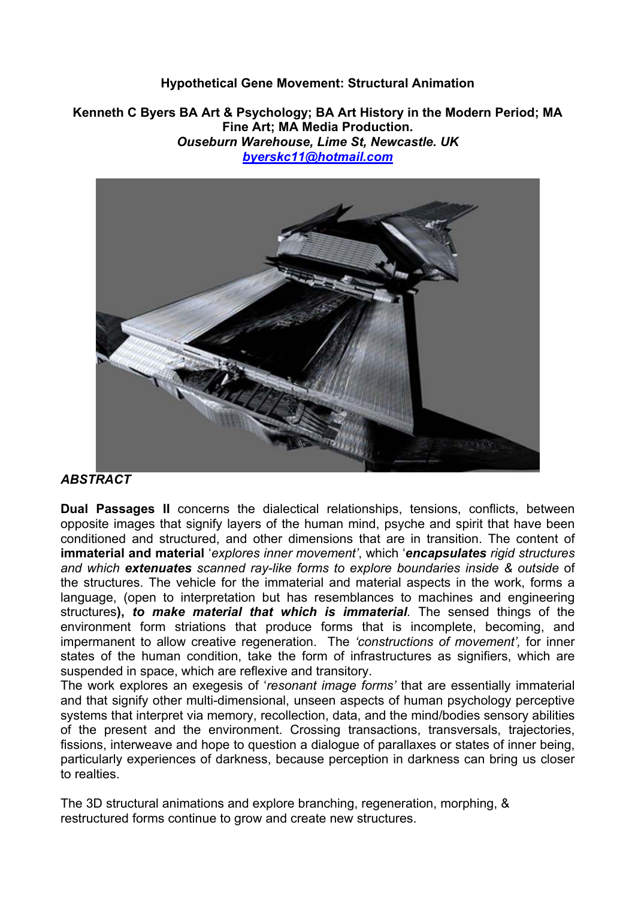## **Hypothetical Gene Movement: Structural Animation**

**Kenneth C Byers BA Art & Psychology; BA Art History in the Modern Period; MA Fine Art; MA Media Production.**  *Ouseburn Warehouse, Lime St, Newcastle. UK byerskc11@hotmail.com*



## *ABSTRACT*

**Dual Passages II** concerns the dialectical relationships, tensions, conflicts, between opposite images that signify layers of the human mind, psyche and spirit that have been conditioned and structured, and other dimensions that are in transition. The content of **immaterial and material** '*explores inner movement'*, which '*encapsulates rigid structures and which extenuates scanned ray-like forms to explore boundaries inside & outside* of the structures. The vehicle for the immaterial and material aspects in the work, forms a language, (open to interpretation but has resemblances to machines and engineering structures**),** *to make material that which is immaterial.* The sensed things of the environment form striations that produce forms that is incomplete, becoming, and impermanent to allow creative regeneration. The *'constructions of movement',* for inner states of the human condition, take the form of infrastructures as signifiers, which are suspended in space, which are reflexive and transitory.

The work explores an exegesis of '*resonant image forms'* that are essentially immaterial and that signify other multi-dimensional, unseen aspects of human psychology perceptive systems that interpret via memory, recollection, data, and the mind/bodies sensory abilities of the present and the environment. Crossing transactions, transversals, trajectories, fissions, interweave and hope to question a dialogue of parallaxes or states of inner being, particularly experiences of darkness, because perception in darkness can bring us closer to realties.

The 3D structural animations and explore branching, regeneration, morphing, & restructured forms continue to grow and create new structures.